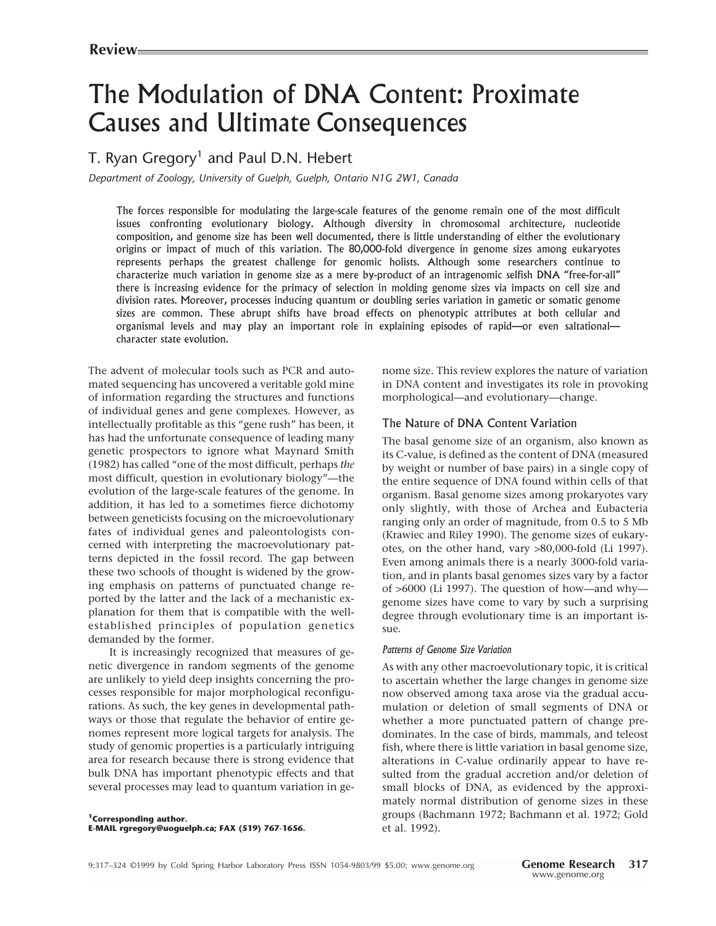# The Modulation of DNA Content: Proximate Causes and Ultimate Consequences

# T. Ryan Gregory<sup>1</sup> and Paul D.N. Hebert

*Department of Zoology, University of Guelph, Guelph, Ontario N1G 2W1, Canada*

The forces responsible for modulating the large-scale features of the genome remain one of the most difficult issues confronting evolutionary biology. Although diversity in chromosomal architecture, nucleotide composition, and genome size has been well documented, there is little understanding of either the evolutionary origins or impact of much of this variation. The 80,000-fold divergence in genome sizes among eukaryotes represents perhaps the greatest challenge for genomic holists. Although some researchers continue to characterize much variation in genome size as a mere by-product of an intragenomic selfish DNA "free-for-all" there is increasing evidence for the primacy of selection in molding genome sizes via impacts on cell size and division rates. Moreover, processes inducing quantum or doubling series variation in gametic or somatic genome sizes are common. These abrupt shifts have broad effects on phenotypic attributes at both cellular and organismal levels and may play an important role in explaining episodes of rapid—or even saltational character state evolution.

The advent of molecular tools such as PCR and automated sequencing has uncovered a veritable gold mine of information regarding the structures and functions of individual genes and gene complexes. However, as intellectually profitable as this "gene rush" has been, it has had the unfortunate consequence of leading many genetic prospectors to ignore what Maynard Smith (1982) has called "one of the most difficult, perhaps *the* most difficult, question in evolutionary biology"—the evolution of the large-scale features of the genome. In addition, it has led to a sometimes fierce dichotomy between geneticists focusing on the microevolutionary fates of individual genes and paleontologists concerned with interpreting the macroevolutionary patterns depicted in the fossil record. The gap between these two schools of thought is widened by the growing emphasis on patterns of punctuated change reported by the latter and the lack of a mechanistic explanation for them that is compatible with the wellestablished principles of population genetics demanded by the former.

It is increasingly recognized that measures of genetic divergence in random segments of the genome are unlikely to yield deep insights concerning the processes responsible for major morphological reconfigurations. As such, the key genes in developmental pathways or those that regulate the behavior of entire genomes represent more logical targets for analysis. The study of genomic properties is a particularly intriguing area for research because there is strong evidence that bulk DNA has important phenotypic effects and that several processes may lead to quantum variation in genome size. This review explores the nature of variation in DNA content and investigates its role in provoking morphological—and evolutionary—change.

# The Nature of DNA Content Variation

The basal genome size of an organism, also known as its C-value, is defined as the content of DNA (measured by weight or number of base pairs) in a single copy of the entire sequence of DNA found within cells of that organism. Basal genome sizes among prokaryotes vary only slightly, with those of Archea and Eubacteria ranging only an order of magnitude, from 0.5 to 5 Mb (Krawiec and Riley 1990). The genome sizes of eukaryotes, on the other hand, vary >80,000-fold (Li 1997). Even among animals there is a nearly 3000-fold variation, and in plants basal genomes sizes vary by a factor of >6000 (Li 1997). The question of how—and why genome sizes have come to vary by such a surprising degree through evolutionary time is an important issue.

#### *Patterns of Genome Size Variation*

As with any other macroevolutionary topic, it is critical to ascertain whether the large changes in genome size now observed among taxa arose via the gradual accumulation or deletion of small segments of DNA or whether a more punctuated pattern of change predominates. In the case of birds, mammals, and teleost fish, where there is little variation in basal genome size, alterations in C-value ordinarily appear to have resulted from the gradual accretion and/or deletion of small blocks of DNA, as evidenced by the approximately normal distribution of genome sizes in these groups (Bachmann 1972; Bachmann et al. 1972; Gold et al. 1992).

**1Corresponding author. E-MAIL rgregory@uoguelph.ca; FAX (519) 767-1656.**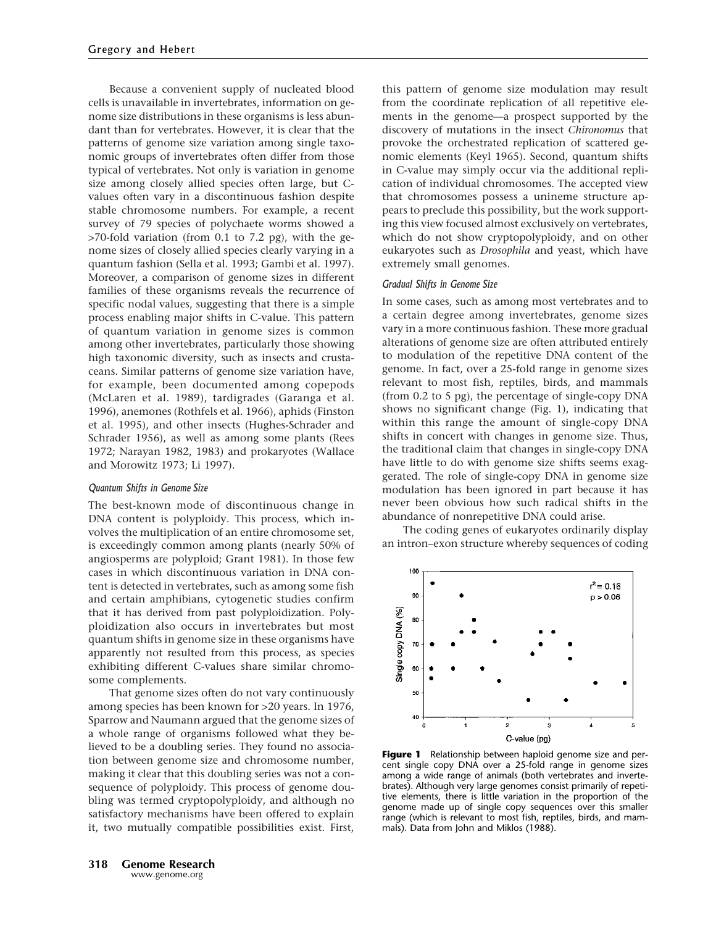Because a convenient supply of nucleated blood cells is unavailable in invertebrates, information on genome size distributions in these organisms is less abundant than for vertebrates. However, it is clear that the patterns of genome size variation among single taxonomic groups of invertebrates often differ from those typical of vertebrates. Not only is variation in genome size among closely allied species often large, but Cvalues often vary in a discontinuous fashion despite stable chromosome numbers. For example, a recent survey of 79 species of polychaete worms showed a >70-fold variation (from 0.1 to 7.2 pg), with the genome sizes of closely allied species clearly varying in a quantum fashion (Sella et al. 1993; Gambi et al. 1997). Moreover, a comparison of genome sizes in different families of these organisms reveals the recurrence of specific nodal values, suggesting that there is a simple process enabling major shifts in C-value. This pattern of quantum variation in genome sizes is common among other invertebrates, particularly those showing high taxonomic diversity, such as insects and crustaceans. Similar patterns of genome size variation have, for example, been documented among copepods (McLaren et al. 1989), tardigrades (Garanga et al. 1996), anemones (Rothfels et al. 1966), aphids (Finston et al. 1995), and other insects (Hughes-Schrader and Schrader 1956), as well as among some plants (Rees 1972; Narayan 1982, 1983) and prokaryotes (Wallace and Morowitz 1973; Li 1997).

# *Quantum Shifts in Genome Size*

The best-known mode of discontinuous change in DNA content is polyploidy. This process, which involves the multiplication of an entire chromosome set, is exceedingly common among plants (nearly 50% of angiosperms are polyploid; Grant 1981). In those few cases in which discontinuous variation in DNA content is detected in vertebrates, such as among some fish and certain amphibians, cytogenetic studies confirm that it has derived from past polyploidization. Polyploidization also occurs in invertebrates but most quantum shifts in genome size in these organisms have apparently not resulted from this process, as species exhibiting different C-values share similar chromosome complements.

That genome sizes often do not vary continuously among species has been known for >20 years. In 1976, Sparrow and Naumann argued that the genome sizes of a whole range of organisms followed what they believed to be a doubling series. They found no association between genome size and chromosome number, making it clear that this doubling series was not a consequence of polyploidy. This process of genome doubling was termed cryptopolyploidy, and although no satisfactory mechanisms have been offered to explain it, two mutually compatible possibilities exist. First,

this pattern of genome size modulation may result from the coordinate replication of all repetitive elements in the genome—a prospect supported by the discovery of mutations in the insect *Chironomus* that provoke the orchestrated replication of scattered genomic elements (Keyl 1965). Second, quantum shifts in C-value may simply occur via the additional replication of individual chromosomes. The accepted view that chromosomes possess a unineme structure appears to preclude this possibility, but the work supporting this view focused almost exclusively on vertebrates, which do not show cryptopolyploidy, and on other eukaryotes such as *Drosophila* and yeast, which have extremely small genomes.

#### *Gradual Shifts in Genome Size*

In some cases, such as among most vertebrates and to a certain degree among invertebrates, genome sizes vary in a more continuous fashion. These more gradual alterations of genome size are often attributed entirely to modulation of the repetitive DNA content of the genome. In fact, over a 25-fold range in genome sizes relevant to most fish, reptiles, birds, and mammals (from 0.2 to 5 pg), the percentage of single-copy DNA shows no significant change (Fig. 1), indicating that within this range the amount of single-copy DNA shifts in concert with changes in genome size. Thus, the traditional claim that changes in single-copy DNA have little to do with genome size shifts seems exaggerated. The role of single-copy DNA in genome size modulation has been ignored in part because it has never been obvious how such radical shifts in the abundance of nonrepetitive DNA could arise.

The coding genes of eukaryotes ordinarily display an intron–exon structure whereby sequences of coding



**Figure 1** Relationship between haploid genome size and percent single copy DNA over a 25-fold range in genome sizes among a wide range of animals (both vertebrates and invertebrates). Although very large genomes consist primarily of repetitive elements, there is little variation in the proportion of the genome made up of single copy sequences over this smaller range (which is relevant to most fish, reptiles, birds, and mammals). Data from John and Miklos (1988).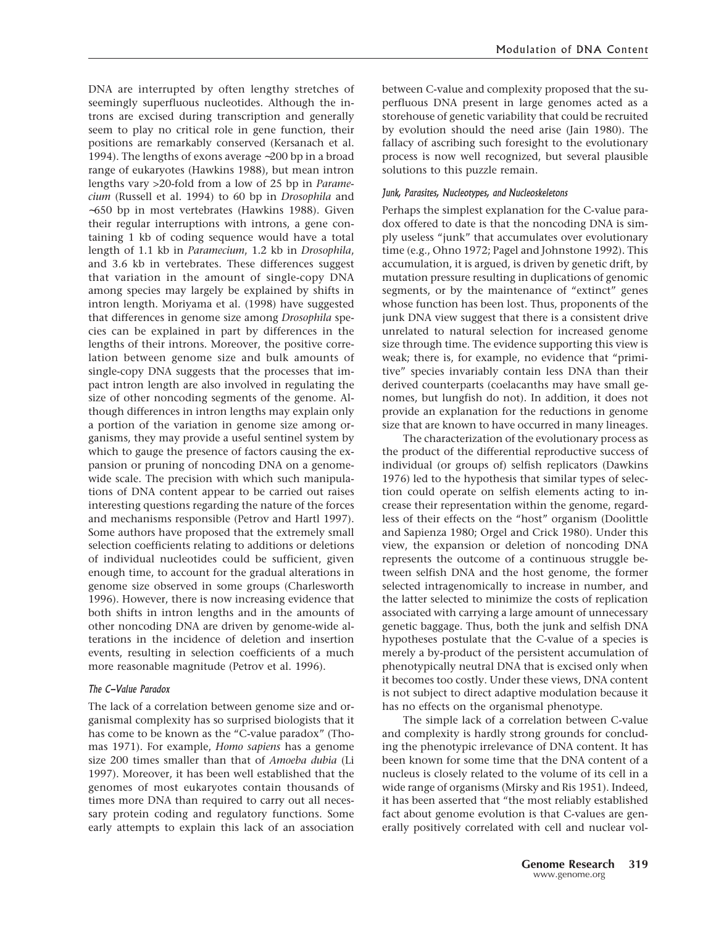DNA are interrupted by often lengthy stretches of seemingly superfluous nucleotides. Although the introns are excised during transcription and generally seem to play no critical role in gene function, their positions are remarkably conserved (Kersanach et al. 1994). The lengths of exons average ∼200 bp in a broad range of eukaryotes (Hawkins 1988), but mean intron lengths vary >20-fold from a low of 25 bp in *Paramecium* (Russell et al. 1994) to 60 bp in *Drosophila* and ∼650 bp in most vertebrates (Hawkins 1988). Given their regular interruptions with introns, a gene containing 1 kb of coding sequence would have a total length of 1.1 kb in *Paramecium*, 1.2 kb in *Drosophila*, and 3.6 kb in vertebrates. These differences suggest that variation in the amount of single-copy DNA among species may largely be explained by shifts in intron length. Moriyama et al. (1998) have suggested that differences in genome size among *Drosophila* species can be explained in part by differences in the lengths of their introns. Moreover, the positive correlation between genome size and bulk amounts of single-copy DNA suggests that the processes that impact intron length are also involved in regulating the size of other noncoding segments of the genome. Although differences in intron lengths may explain only a portion of the variation in genome size among organisms, they may provide a useful sentinel system by which to gauge the presence of factors causing the expansion or pruning of noncoding DNA on a genomewide scale. The precision with which such manipulations of DNA content appear to be carried out raises interesting questions regarding the nature of the forces and mechanisms responsible (Petrov and Hartl 1997). Some authors have proposed that the extremely small selection coefficients relating to additions or deletions of individual nucleotides could be sufficient, given enough time, to account for the gradual alterations in genome size observed in some groups (Charlesworth 1996). However, there is now increasing evidence that both shifts in intron lengths and in the amounts of other noncoding DNA are driven by genome-wide alterations in the incidence of deletion and insertion events, resulting in selection coefficients of a much more reasonable magnitude (Petrov et al. 1996).

# *The C-Value Paradox*

The lack of a correlation between genome size and organismal complexity has so surprised biologists that it has come to be known as the "C-value paradox" (Thomas 1971). For example, *Homo sapiens* has a genome size 200 times smaller than that of *Amoeba dubia* (Li 1997). Moreover, it has been well established that the genomes of most eukaryotes contain thousands of times more DNA than required to carry out all necessary protein coding and regulatory functions. Some early attempts to explain this lack of an association between C-value and complexity proposed that the superfluous DNA present in large genomes acted as a storehouse of genetic variability that could be recruited by evolution should the need arise (Jain 1980). The fallacy of ascribing such foresight to the evolutionary process is now well recognized, but several plausible solutions to this puzzle remain.

#### *Junk, Parasites, Nucleotypes, and Nucleoskeletons*

Perhaps the simplest explanation for the C-value paradox offered to date is that the noncoding DNA is simply useless "junk" that accumulates over evolutionary time (e.g., Ohno 1972; Pagel and Johnstone 1992). This accumulation, it is argued, is driven by genetic drift, by mutation pressure resulting in duplications of genomic segments, or by the maintenance of "extinct" genes whose function has been lost. Thus, proponents of the junk DNA view suggest that there is a consistent drive unrelated to natural selection for increased genome size through time. The evidence supporting this view is weak; there is, for example, no evidence that "primitive" species invariably contain less DNA than their derived counterparts (coelacanths may have small genomes, but lungfish do not). In addition, it does not provide an explanation for the reductions in genome size that are known to have occurred in many lineages.

The characterization of the evolutionary process as the product of the differential reproductive success of individual (or groups of) selfish replicators (Dawkins 1976) led to the hypothesis that similar types of selection could operate on selfish elements acting to increase their representation within the genome, regardless of their effects on the "host" organism (Doolittle and Sapienza 1980; Orgel and Crick 1980). Under this view, the expansion or deletion of noncoding DNA represents the outcome of a continuous struggle between selfish DNA and the host genome, the former selected intragenomically to increase in number, and the latter selected to minimize the costs of replication associated with carrying a large amount of unnecessary genetic baggage. Thus, both the junk and selfish DNA hypotheses postulate that the C-value of a species is merely a by-product of the persistent accumulation of phenotypically neutral DNA that is excised only when it becomes too costly. Under these views, DNA content is not subject to direct adaptive modulation because it has no effects on the organismal phenotype.

The simple lack of a correlation between C-value and complexity is hardly strong grounds for concluding the phenotypic irrelevance of DNA content. It has been known for some time that the DNA content of a nucleus is closely related to the volume of its cell in a wide range of organisms (Mirsky and Ris 1951). Indeed, it has been asserted that "the most reliably established fact about genome evolution is that C-values are generally positively correlated with cell and nuclear vol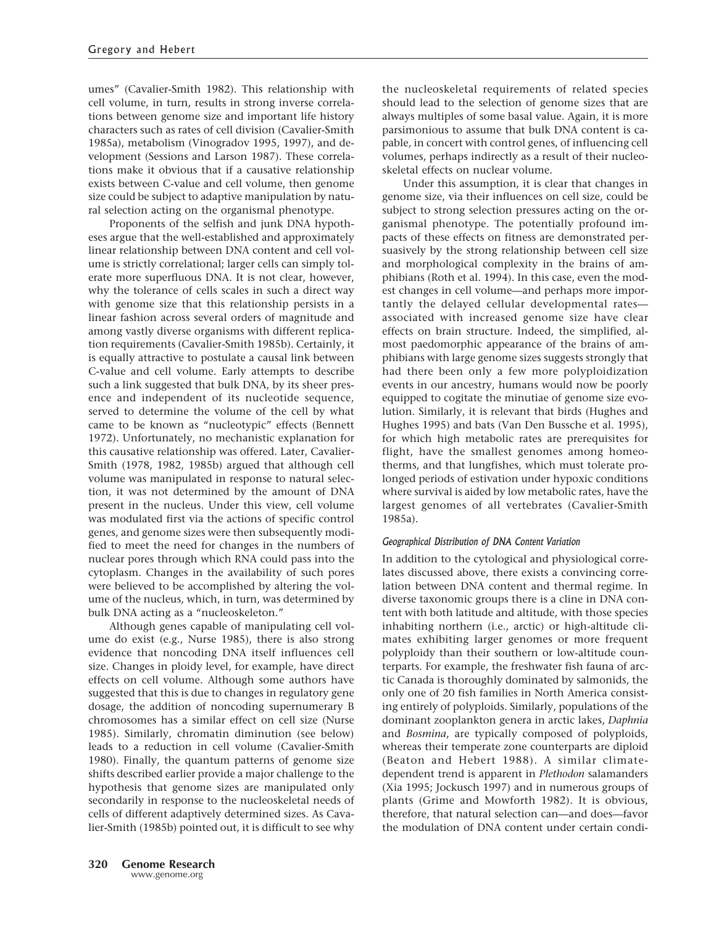umes" (Cavalier-Smith 1982). This relationship with cell volume, in turn, results in strong inverse correlations between genome size and important life history characters such as rates of cell division (Cavalier-Smith 1985a), metabolism (Vinogradov 1995, 1997), and development (Sessions and Larson 1987). These correlations make it obvious that if a causative relationship exists between C-value and cell volume, then genome size could be subject to adaptive manipulation by natural selection acting on the organismal phenotype.

Proponents of the selfish and junk DNA hypotheses argue that the well-established and approximately linear relationship between DNA content and cell volume is strictly correlational; larger cells can simply tolerate more superfluous DNA. It is not clear, however, why the tolerance of cells scales in such a direct way with genome size that this relationship persists in a linear fashion across several orders of magnitude and among vastly diverse organisms with different replication requirements (Cavalier-Smith 1985b). Certainly, it is equally attractive to postulate a causal link between C-value and cell volume. Early attempts to describe such a link suggested that bulk DNA, by its sheer presence and independent of its nucleotide sequence, served to determine the volume of the cell by what came to be known as "nucleotypic" effects (Bennett 1972). Unfortunately, no mechanistic explanation for this causative relationship was offered. Later, Cavalier-Smith (1978, 1982, 1985b) argued that although cell volume was manipulated in response to natural selection, it was not determined by the amount of DNA present in the nucleus. Under this view, cell volume was modulated first via the actions of specific control genes, and genome sizes were then subsequently modified to meet the need for changes in the numbers of nuclear pores through which RNA could pass into the cytoplasm. Changes in the availability of such pores were believed to be accomplished by altering the volume of the nucleus, which, in turn, was determined by bulk DNA acting as a "nucleoskeleton."

Although genes capable of manipulating cell volume do exist (e.g., Nurse 1985), there is also strong evidence that noncoding DNA itself influences cell size. Changes in ploidy level, for example, have direct effects on cell volume. Although some authors have suggested that this is due to changes in regulatory gene dosage, the addition of noncoding supernumerary B chromosomes has a similar effect on cell size (Nurse 1985). Similarly, chromatin diminution (see below) leads to a reduction in cell volume (Cavalier-Smith 1980). Finally, the quantum patterns of genome size shifts described earlier provide a major challenge to the hypothesis that genome sizes are manipulated only secondarily in response to the nucleoskeletal needs of cells of different adaptively determined sizes. As Cavalier-Smith (1985b) pointed out, it is difficult to see why the nucleoskeletal requirements of related species should lead to the selection of genome sizes that are always multiples of some basal value. Again, it is more parsimonious to assume that bulk DNA content is capable, in concert with control genes, of influencing cell volumes, perhaps indirectly as a result of their nucleoskeletal effects on nuclear volume.

Under this assumption, it is clear that changes in genome size, via their influences on cell size, could be subject to strong selection pressures acting on the organismal phenotype. The potentially profound impacts of these effects on fitness are demonstrated persuasively by the strong relationship between cell size and morphological complexity in the brains of amphibians (Roth et al. 1994). In this case, even the modest changes in cell volume—and perhaps more importantly the delayed cellular developmental rates associated with increased genome size have clear effects on brain structure. Indeed, the simplified, almost paedomorphic appearance of the brains of amphibians with large genome sizes suggests strongly that had there been only a few more polyploidization events in our ancestry, humans would now be poorly equipped to cogitate the minutiae of genome size evolution. Similarly, it is relevant that birds (Hughes and Hughes 1995) and bats (Van Den Bussche et al. 1995), for which high metabolic rates are prerequisites for flight, have the smallest genomes among homeotherms, and that lungfishes, which must tolerate prolonged periods of estivation under hypoxic conditions where survival is aided by low metabolic rates, have the largest genomes of all vertebrates (Cavalier-Smith 1985a).

# *Geographical Distribution of DNA Content Variation*

In addition to the cytological and physiological correlates discussed above, there exists a convincing correlation between DNA content and thermal regime. In diverse taxonomic groups there is a cline in DNA content with both latitude and altitude, with those species inhabiting northern (i.e., arctic) or high-altitude climates exhibiting larger genomes or more frequent polyploidy than their southern or low-altitude counterparts. For example, the freshwater fish fauna of arctic Canada is thoroughly dominated by salmonids, the only one of 20 fish families in North America consisting entirely of polyploids. Similarly, populations of the dominant zooplankton genera in arctic lakes, *Daphnia* and *Bosmina*, are typically composed of polyploids, whereas their temperate zone counterparts are diploid (Beaton and Hebert 1988). A similar climatedependent trend is apparent in *Plethodon* salamanders (Xia 1995; Jockusch 1997) and in numerous groups of plants (Grime and Mowforth 1982). It is obvious, therefore, that natural selection can—and does—favor the modulation of DNA content under certain condi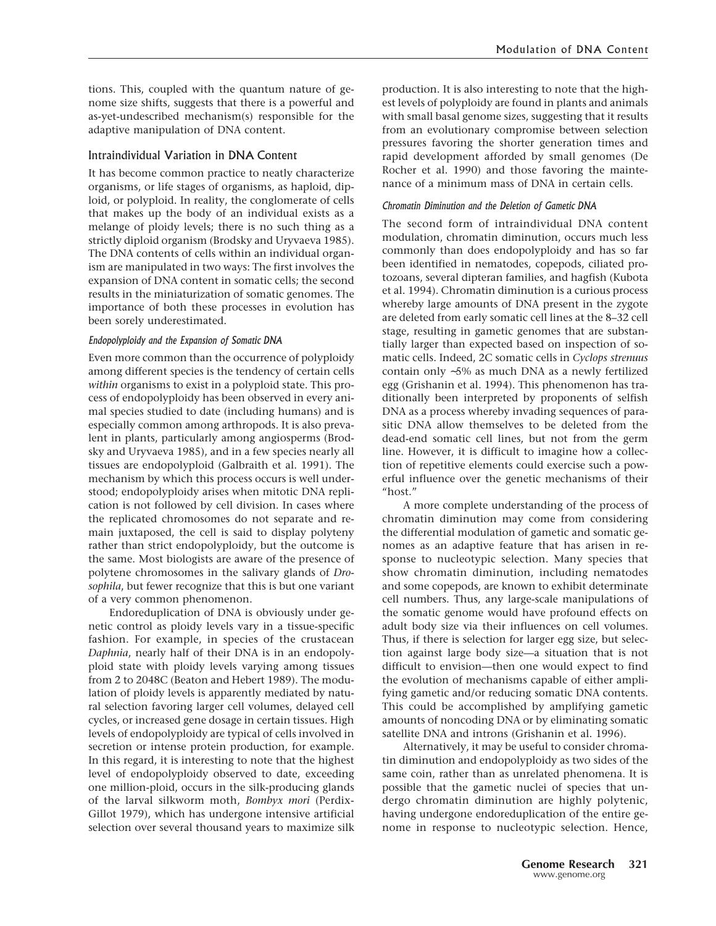tions. This, coupled with the quantum nature of genome size shifts, suggests that there is a powerful and as-yet-undescribed mechanism(s) responsible for the adaptive manipulation of DNA content.

# Intraindividual Variation in DNA Content

It has become common practice to neatly characterize organisms, or life stages of organisms, as haploid, diploid, or polyploid. In reality, the conglomerate of cells that makes up the body of an individual exists as a melange of ploidy levels; there is no such thing as a strictly diploid organism (Brodsky and Uryvaeva 1985). The DNA contents of cells within an individual organism are manipulated in two ways: The first involves the expansion of DNA content in somatic cells; the second results in the miniaturization of somatic genomes. The importance of both these processes in evolution has been sorely underestimated.

# *Endopolyploidy and the Expansion of Somatic DNA*

Even more common than the occurrence of polyploidy among different species is the tendency of certain cells *within* organisms to exist in a polyploid state. This process of endopolyploidy has been observed in every animal species studied to date (including humans) and is especially common among arthropods. It is also prevalent in plants, particularly among angiosperms (Brodsky and Uryvaeva 1985), and in a few species nearly all tissues are endopolyploid (Galbraith et al. 1991). The mechanism by which this process occurs is well understood; endopolyploidy arises when mitotic DNA replication is not followed by cell division. In cases where the replicated chromosomes do not separate and remain juxtaposed, the cell is said to display polyteny rather than strict endopolyploidy, but the outcome is the same. Most biologists are aware of the presence of polytene chromosomes in the salivary glands of *Drosophila*, but fewer recognize that this is but one variant of a very common phenomenon.

Endoreduplication of DNA is obviously under genetic control as ploidy levels vary in a tissue-specific fashion. For example, in species of the crustacean *Daphnia*, nearly half of their DNA is in an endopolyploid state with ploidy levels varying among tissues from 2 to 2048C (Beaton and Hebert 1989). The modulation of ploidy levels is apparently mediated by natural selection favoring larger cell volumes, delayed cell cycles, or increased gene dosage in certain tissues. High levels of endopolyploidy are typical of cells involved in secretion or intense protein production, for example. In this regard, it is interesting to note that the highest level of endopolyploidy observed to date, exceeding one million-ploid, occurs in the silk-producing glands of the larval silkworm moth, *Bombyx mori* (Perdix-Gillot 1979), which has undergone intensive artificial selection over several thousand years to maximize silk production. It is also interesting to note that the highest levels of polyploidy are found in plants and animals with small basal genome sizes, suggesting that it results from an evolutionary compromise between selection pressures favoring the shorter generation times and rapid development afforded by small genomes (De Rocher et al. 1990) and those favoring the maintenance of a minimum mass of DNA in certain cells.

# *Chromatin Diminution and the Deletion of Gametic DNA*

The second form of intraindividual DNA content modulation, chromatin diminution, occurs much less commonly than does endopolyploidy and has so far been identified in nematodes, copepods, ciliated protozoans, several dipteran families, and hagfish (Kubota et al. 1994). Chromatin diminution is a curious process whereby large amounts of DNA present in the zygote are deleted from early somatic cell lines at the 8–32 cell stage, resulting in gametic genomes that are substantially larger than expected based on inspection of somatic cells. Indeed, 2C somatic cells in *Cyclops strenuus* contain only ∼5% as much DNA as a newly fertilized egg (Grishanin et al. 1994). This phenomenon has traditionally been interpreted by proponents of selfish DNA as a process whereby invading sequences of parasitic DNA allow themselves to be deleted from the dead-end somatic cell lines, but not from the germ line. However, it is difficult to imagine how a collection of repetitive elements could exercise such a powerful influence over the genetic mechanisms of their "host"

A more complete understanding of the process of chromatin diminution may come from considering the differential modulation of gametic and somatic genomes as an adaptive feature that has arisen in response to nucleotypic selection. Many species that show chromatin diminution, including nematodes and some copepods, are known to exhibit determinate cell numbers. Thus, any large-scale manipulations of the somatic genome would have profound effects on adult body size via their influences on cell volumes. Thus, if there is selection for larger egg size, but selection against large body size—a situation that is not difficult to envision—then one would expect to find the evolution of mechanisms capable of either amplifying gametic and/or reducing somatic DNA contents. This could be accomplished by amplifying gametic amounts of noncoding DNA or by eliminating somatic satellite DNA and introns (Grishanin et al. 1996).

Alternatively, it may be useful to consider chromatin diminution and endopolyploidy as two sides of the same coin, rather than as unrelated phenomena. It is possible that the gametic nuclei of species that undergo chromatin diminution are highly polytenic, having undergone endoreduplication of the entire genome in response to nucleotypic selection. Hence,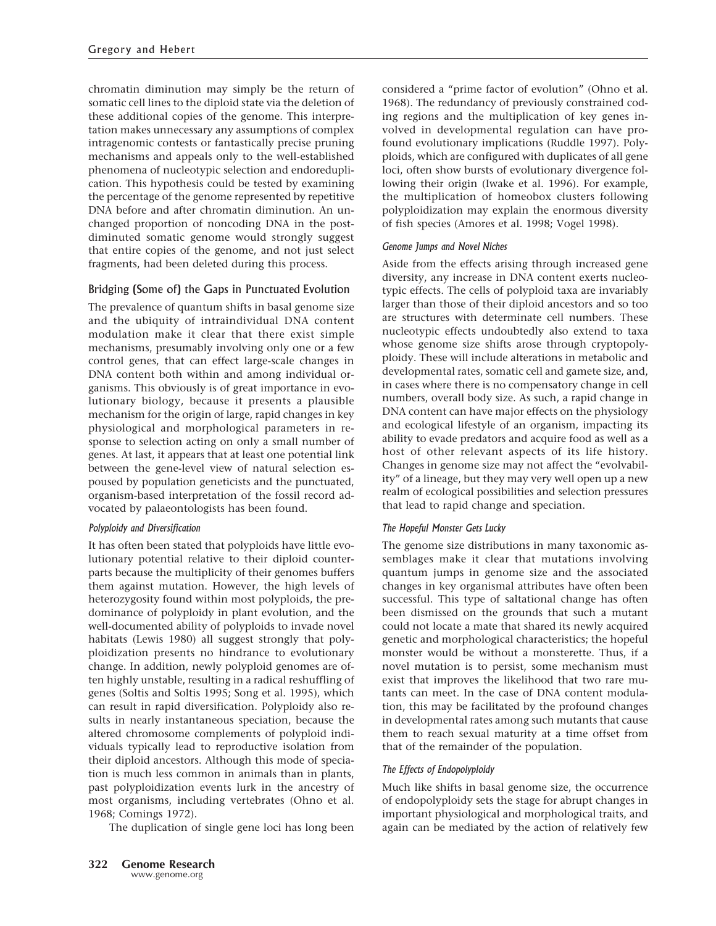chromatin diminution may simply be the return of somatic cell lines to the diploid state via the deletion of these additional copies of the genome. This interpretation makes unnecessary any assumptions of complex intragenomic contests or fantastically precise pruning mechanisms and appeals only to the well-established phenomena of nucleotypic selection and endoreduplication. This hypothesis could be tested by examining the percentage of the genome represented by repetitive DNA before and after chromatin diminution. An unchanged proportion of noncoding DNA in the postdiminuted somatic genome would strongly suggest that entire copies of the genome, and not just select fragments, had been deleted during this process.

# Bridging (Some of) the Gaps in Punctuated Evolution

The prevalence of quantum shifts in basal genome size and the ubiquity of intraindividual DNA content modulation make it clear that there exist simple mechanisms, presumably involving only one or a few control genes, that can effect large-scale changes in DNA content both within and among individual organisms. This obviously is of great importance in evolutionary biology, because it presents a plausible mechanism for the origin of large, rapid changes in key physiological and morphological parameters in response to selection acting on only a small number of genes. At last, it appears that at least one potential link between the gene-level view of natural selection espoused by population geneticists and the punctuated, organism-based interpretation of the fossil record advocated by palaeontologists has been found.

# *Polyploidy and Diversification*

It has often been stated that polyploids have little evolutionary potential relative to their diploid counterparts because the multiplicity of their genomes buffers them against mutation. However, the high levels of heterozygosity found within most polyploids, the predominance of polyploidy in plant evolution, and the well-documented ability of polyploids to invade novel habitats (Lewis 1980) all suggest strongly that polyploidization presents no hindrance to evolutionary change. In addition, newly polyploid genomes are often highly unstable, resulting in a radical reshuffling of genes (Soltis and Soltis 1995; Song et al. 1995), which can result in rapid diversification. Polyploidy also results in nearly instantaneous speciation, because the altered chromosome complements of polyploid individuals typically lead to reproductive isolation from their diploid ancestors. Although this mode of speciation is much less common in animals than in plants, past polyploidization events lurk in the ancestry of most organisms, including vertebrates (Ohno et al. 1968; Comings 1972).

The duplication of single gene loci has long been

considered a "prime factor of evolution" (Ohno et al. 1968). The redundancy of previously constrained coding regions and the multiplication of key genes involved in developmental regulation can have profound evolutionary implications (Ruddle 1997). Polyploids, which are configured with duplicates of all gene loci, often show bursts of evolutionary divergence following their origin (Iwake et al. 1996). For example, the multiplication of homeobox clusters following polyploidization may explain the enormous diversity of fish species (Amores et al. 1998; Vogel 1998).

# *Genome Jumps and Novel Niches*

Aside from the effects arising through increased gene diversity, any increase in DNA content exerts nucleotypic effects. The cells of polyploid taxa are invariably larger than those of their diploid ancestors and so too are structures with determinate cell numbers. These nucleotypic effects undoubtedly also extend to taxa whose genome size shifts arose through cryptopolyploidy. These will include alterations in metabolic and developmental rates, somatic cell and gamete size, and, in cases where there is no compensatory change in cell numbers, overall body size. As such, a rapid change in DNA content can have major effects on the physiology and ecological lifestyle of an organism, impacting its ability to evade predators and acquire food as well as a host of other relevant aspects of its life history. Changes in genome size may not affect the "evolvability" of a lineage, but they may very well open up a new realm of ecological possibilities and selection pressures that lead to rapid change and speciation.

# *The Hopeful Monster Gets Lucky*

The genome size distributions in many taxonomic assemblages make it clear that mutations involving quantum jumps in genome size and the associated changes in key organismal attributes have often been successful. This type of saltational change has often been dismissed on the grounds that such a mutant could not locate a mate that shared its newly acquired genetic and morphological characteristics; the hopeful monster would be without a monsterette. Thus, if a novel mutation is to persist, some mechanism must exist that improves the likelihood that two rare mutants can meet. In the case of DNA content modulation, this may be facilitated by the profound changes in developmental rates among such mutants that cause them to reach sexual maturity at a time offset from that of the remainder of the population.

# *The Effects of Endopolyploidy*

Much like shifts in basal genome size, the occurrence of endopolyploidy sets the stage for abrupt changes in important physiological and morphological traits, and again can be mediated by the action of relatively few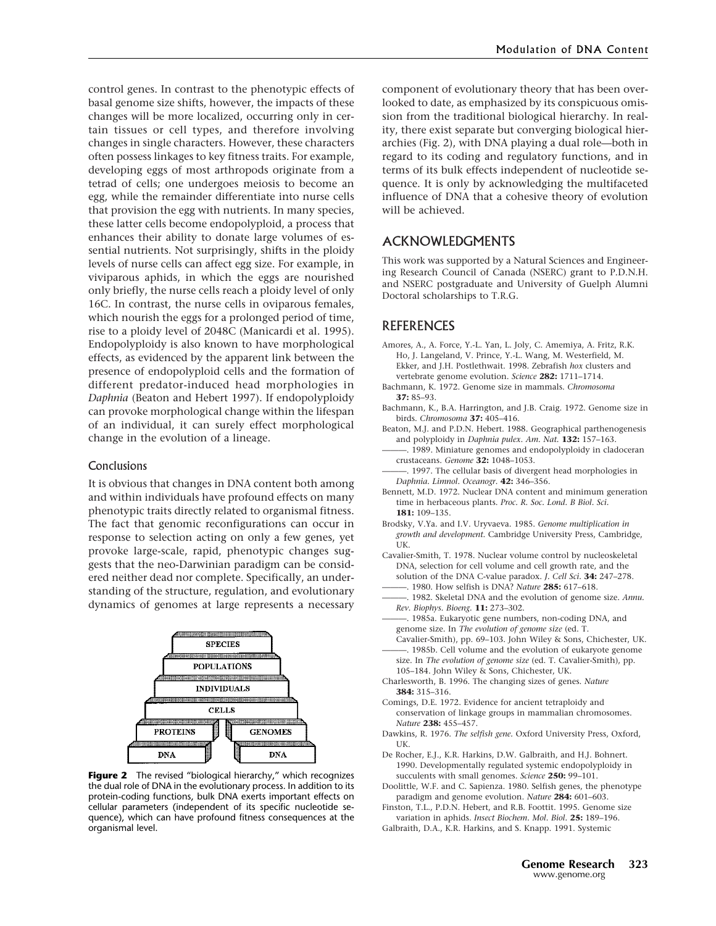control genes. In contrast to the phenotypic effects of basal genome size shifts, however, the impacts of these changes will be more localized, occurring only in certain tissues or cell types, and therefore involving changes in single characters. However, these characters often possess linkages to key fitness traits. For example, developing eggs of most arthropods originate from a tetrad of cells; one undergoes meiosis to become an egg, while the remainder differentiate into nurse cells that provision the egg with nutrients. In many species, these latter cells become endopolyploid, a process that enhances their ability to donate large volumes of essential nutrients. Not surprisingly, shifts in the ploidy levels of nurse cells can affect egg size. For example, in viviparous aphids, in which the eggs are nourished only briefly, the nurse cells reach a ploidy level of only 16C. In contrast, the nurse cells in oviparous females, which nourish the eggs for a prolonged period of time, rise to a ploidy level of 2048C (Manicardi et al. 1995). Endopolyploidy is also known to have morphological effects, as evidenced by the apparent link between the presence of endopolyploid cells and the formation of different predator-induced head morphologies in *Daphnia* (Beaton and Hebert 1997). If endopolyploidy can provoke morphological change within the lifespan of an individual, it can surely effect morphological change in the evolution of a lineage.

#### **Conclusions**

It is obvious that changes in DNA content both among and within individuals have profound effects on many phenotypic traits directly related to organismal fitness. The fact that genomic reconfigurations can occur in response to selection acting on only a few genes, yet provoke large-scale, rapid, phenotypic changes suggests that the neo-Darwinian paradigm can be considered neither dead nor complete. Specifically, an understanding of the structure, regulation, and evolutionary dynamics of genomes at large represents a necessary



**Figure 2** The revised "biological hierarchy," which recognizes the dual role of DNA in the evolutionary process. In addition to its protein-coding functions, bulk DNA exerts important effects on cellular parameters (independent of its specific nucleotide sequence), which can have profound fitness consequences at the organismal level.

component of evolutionary theory that has been overlooked to date, as emphasized by its conspicuous omission from the traditional biological hierarchy. In reality, there exist separate but converging biological hierarchies (Fig. 2), with DNA playing a dual role—both in regard to its coding and regulatory functions, and in terms of its bulk effects independent of nucleotide sequence. It is only by acknowledging the multifaceted influence of DNA that a cohesive theory of evolution will be achieved.

# ACKNOWLEDGMENTS

This work was supported by a Natural Sciences and Engineering Research Council of Canada (NSERC) grant to P.D.N.H. and NSERC postgraduate and University of Guelph Alumni Doctoral scholarships to T.R.G.

# REFERENCES

- Amores, A., A. Force, Y.-L. Yan, L. Joly, C. Amemiya, A. Fritz, R.K. Ho, J. Langeland, V. Prince, Y.-L. Wang, M. Westerfield, M. Ekker, and J.H. Postlethwait. 1998. Zebrafish *hox* clusters and vertebrate genome evolution. *Science* **282:** 1711–1714.
- Bachmann, K. 1972. Genome size in mammals. *Chromosoma* **37:** 85–93.
- Bachmann, K., B.A. Harrington, and J.B. Craig. 1972. Genome size in birds. *Chromosoma* **37:** 405–416.
- Beaton, M.J. and P.D.N. Hebert. 1988. Geographical parthenogenesis and polyploidy in *Daphnia pulex*. *Am. Nat.* **132:** 157–163.
- 1989. Miniature genomes and endopolyploidy in cladoceran crustaceans. *Genome* **32:** 1048–1053.
- . 1997. The cellular basis of divergent head morphologies in *Daphnia. Limnol. Oceanogr.* **42:** 346–356.
- Bennett, M.D. 1972. Nuclear DNA content and minimum generation time in herbaceous plants. *Proc. R. Soc. Lond. B Biol. Sci.* **181:** 109–135.
- Brodsky, V.Ya. and I.V. Uryvaeva. 1985. *Genome multiplication in growth and development*. Cambridge University Press, Cambridge, UK.
- Cavalier-Smith, T. 1978. Nuclear volume control by nucleoskeletal DNA, selection for cell volume and cell growth rate, and the solution of the DNA C-value paradox. *J. Cell Sci.* **34:** 247–278.
- ———. 1980. How selfish is DNA? *Nature* **285:** 617–618.
- ———. 1982. Skeletal DNA and the evolution of genome size. *Annu. Rev. Biophys. Bioeng.* **11:** 273–302.
- ———. 1985a. Eukaryotic gene numbers, non-coding DNA, and genome size. In *The evolution of genome size* (ed. T.
- Cavalier-Smith), pp. 69–103. John Wiley & Sons, Chichester, UK. 1985b. Cell volume and the evolution of eukaryote genome size. In *The evolution of genome size* (ed. T. Cavalier-Smith), pp.
- 105–184. John Wiley & Sons, Chichester, UK.
- Charlesworth, B. 1996. The changing sizes of genes. *Nature* **384:** 315–316.
- Comings, D.E. 1972. Evidence for ancient tetraploidy and conservation of linkage groups in mammalian chromosomes. *Nature* **238:** 455–457.
- Dawkins, R. 1976. *The selfish gene.* Oxford University Press, Oxford, UK.
- De Rocher, E.J., K.R. Harkins, D.W. Galbraith, and H.J. Bohnert. 1990. Developmentally regulated systemic endopolyploidy in succulents with small genomes. *Science* **250:** 99–101.
- Doolittle, W.F. and C. Sapienza. 1980. Selfish genes, the phenotype paradigm and genome evolution. *Nature* **284:** 601–603.
- Finston, T.L., P.D.N. Hebert, and R.B. Foottit. 1995. Genome size variation in aphids. *Insect Biochem. Mol. Biol.* **25:** 189–196.
- Galbraith, D.A., K.R. Harkins, and S. Knapp. 1991. Systemic